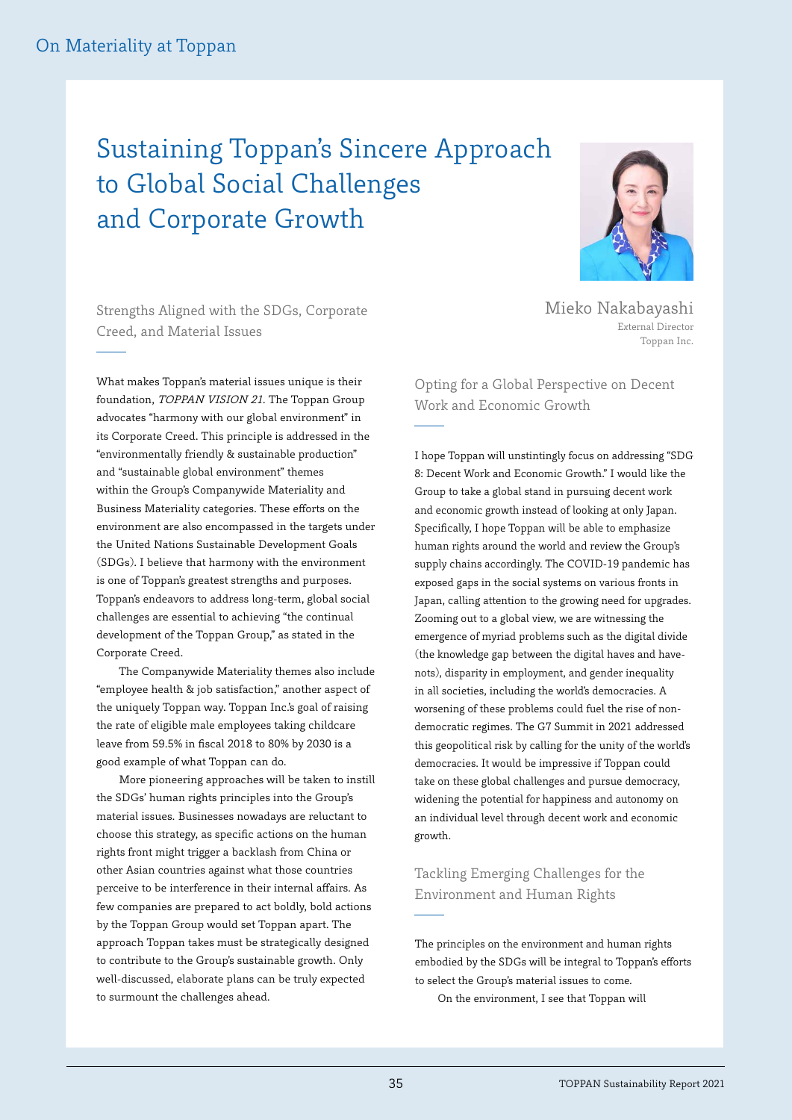## Sustaining Toppan's Sincere Approach to Global Social Challenges and Corporate Growth



Strengths Aligned with the SDGs, Corporate Creed, and Material Issues

What makes Toppan's material issues unique is their foundation, TOPPAN VISION 21. The Toppan Group advocates "harmony with our global environment" in its Corporate Creed. This principle is addressed in the "environmentally friendly & sustainable production" and "sustainable global environment" themes within the Group's Companywide Materiality and Business Materiality categories. These efforts on the environment are also encompassed in the targets under the United Nations Sustainable Development Goals (SDGs). I believe that harmony with the environment is one of Toppan's greatest strengths and purposes. Toppan's endeavors to address long-term, global social challenges are essential to achieving "the continual development of the Toppan Group," as stated in the Corporate Creed.

The Companywide Materiality themes also include "employee health & job satisfaction," another aspect of the uniquely Toppan way. Toppan Inc.'s goal of raising the rate of eligible male employees taking childcare leave from 59.5% in fiscal 2018 to 80% by 2030 is a good example of what Toppan can do.

More pioneering approaches will be taken to instill the SDGs' human rights principles into the Group's material issues. Businesses nowadays are reluctant to choose this strategy, as specific actions on the human rights front might trigger a backlash from China or other Asian countries against what those countries perceive to be interference in their internal affairs. As few companies are prepared to act boldly, bold actions by the Toppan Group would set Toppan apart. The approach Toppan takes must be strategically designed to contribute to the Group's sustainable growth. Only well-discussed, elaborate plans can be truly expected to surmount the challenges ahead.

Mieko Nakabayashi External Director Toppan Inc.

Opting for a Global Perspective on Decent Work and Economic Growth

I hope Toppan will unstintingly focus on addressing "SDG 8: Decent Work and Economic Growth." I would like the Group to take a global stand in pursuing decent work and economic growth instead of looking at only Japan. Specifically, I hope Toppan will be able to emphasize human rights around the world and review the Group's supply chains accordingly. The COVID-19 pandemic has exposed gaps in the social systems on various fronts in Japan, calling attention to the growing need for upgrades. Zooming out to a global view, we are witnessing the emergence of myriad problems such as the digital divide (the knowledge gap between the digital haves and havenots), disparity in employment, and gender inequality in all societies, including the world's democracies. A worsening of these problems could fuel the rise of nondemocratic regimes. The G7 Summit in 2021 addressed this geopolitical risk by calling for the unity of the world's democracies. It would be impressive if Toppan could take on these global challenges and pursue democracy, widening the potential for happiness and autonomy on an individual level through decent work and economic growth.

## Tackling Emerging Challenges for the Environment and Human Rights

The principles on the environment and human rights embodied by the SDGs will be integral to Toppan's efforts to select the Group's material issues to come.

On the environment, I see that Toppan will